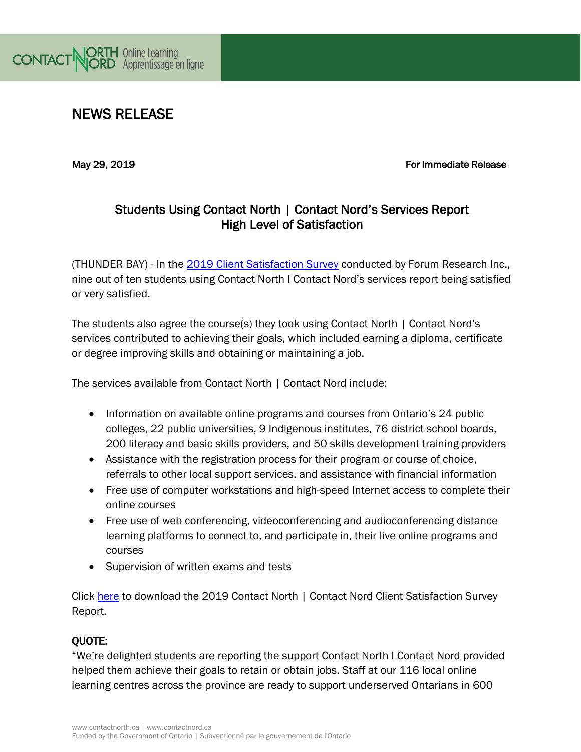

# NEWS RELEASE

May 29, 2019 For Immediate Release and the United States of the Europe of The Europe of The Europe of The Europe of The Europe of The Europe of The Europe of The Europe of The Europe of The Europe of The Europe of The Euro

## Students Using Contact North | Contact Nord's Services Report High Level of Satisfaction

(THUNDER BAY) - In the [2019 Client Satisfaction Survey](https://contactnorth.ca/sites/default/files/pdfs/contact_north_l_contact_nord_client_satisfaction_report_-_april_12_2019.pdf) conducted by Forum Research Inc., nine out of ten students using Contact North I Contact Nord's services report being satisfied or very satisfied.

The students also agree the course(s) they took using Contact North | Contact Nord's services contributed to achieving their goals, which included earning a diploma, certificate or degree improving skills and obtaining or maintaining a job.

The services available from Contact North | Contact Nord include:

- Information on available online programs and courses from Ontario's 24 public colleges, 22 public universities, 9 Indigenous institutes, 76 district school boards, 200 literacy and basic skills providers, and 50 skills development training providers
- Assistance with the registration process for their program or course of choice, referrals to other local support services, and assistance with financial information
- Free use of computer workstations and high-speed Internet access to complete their online courses
- Free use of web conferencing, videoconferencing and audioconferencing distance learning platforms to connect to, and participate in, their live online programs and courses
- Supervision of written exams and tests

Click [here](https://contactnorth.ca/sites/default/files/pdfs/contact_north_l_contact_nord_client_satisfaction_report_-_april_12_2019.pdf) to download the 2019 Contact North | Contact Nord Client Satisfaction Survey Report.

#### QUOTE:

"We're delighted students are reporting the support Contact North I Contact Nord provided helped them achieve their goals to retain or obtain jobs. Staff at our 116 local online learning centres across the province are ready to support underserved Ontarians in 600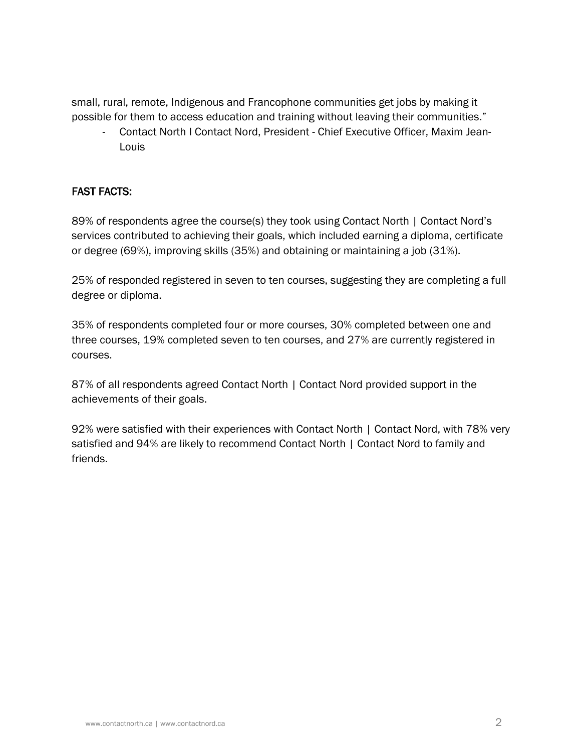small, rural, remote, Indigenous and Francophone communities get jobs by making it possible for them to access education and training without leaving their communities."

- Contact North I Contact Nord, President - Chief Executive Officer, Maxim Jean-Louis

### FAST FACTS:

89% of respondents agree the course(s) they took using Contact North | Contact Nord's services contributed to achieving their goals, which included earning a diploma, certificate or degree (69%), improving skills (35%) and obtaining or maintaining a job (31%).

25% of responded registered in seven to ten courses, suggesting they are completing a full degree or diploma.

35% of respondents completed four or more courses, 30% completed between one and three courses, 19% completed seven to ten courses, and 27% are currently registered in courses.

87% of all respondents agreed Contact North | Contact Nord provided support in the achievements of their goals.

92% were satisfied with their experiences with Contact North | Contact Nord, with 78% very satisfied and 94% are likely to recommend Contact North | Contact Nord to family and friends.